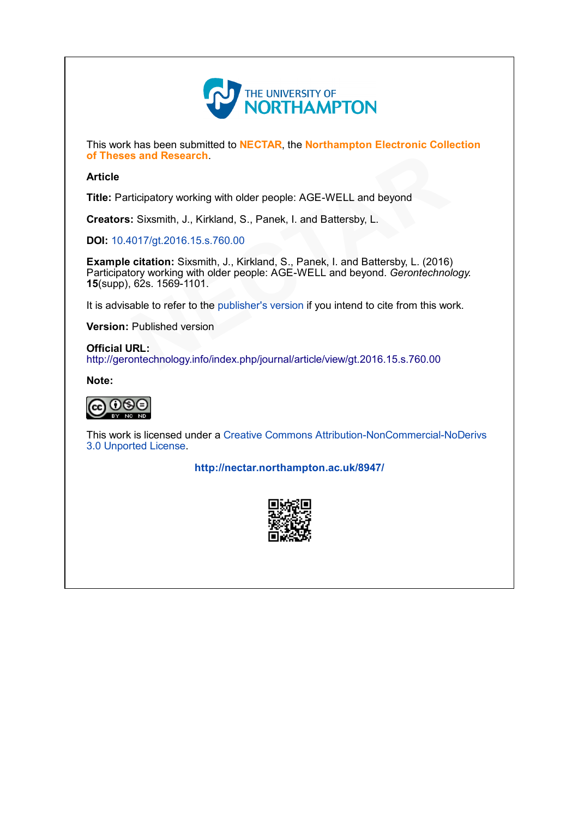

This work has been submitted to NECTAR, the Northampton Electronic Collection of Theses and Research.

## Article

Title: Participatory working with older people: AGE-WELL and beyond

Creators: Sixsmith, J., Kirkland, S., Panek, I. and Battersby, L.

DOI: 10.4017/gt.2016.15.s.760.00

Example citation: Sixsmith, J., Kirkland, S., Panek, I. and Battersby, L. (2016) Participatory working with older people: AGE-WELL and beyond. Gerontechnology. 15(supp), 62s. 1569-1101. s and Research.<br>
ticipatory working with older people: AGE-WELL and beyond<br>
: Sixsmith, J., Kirkland, S., Panek, I. and Battersby, L.<br>
017/gt.2016.15.s.760.00<br>
citation: Sixsmith, J., Kirkland, S., Panek, I. and Battersby,

It is advisable to refer to the publisher's version if you intend to cite from this work.

Version: Published version

Official URL: http://gerontechnology.info/index.php/journal/article/view/gt.2016.15.s.760.00

[Note:](http://creativecommons.org/licenses/by-nc-nd/3.0/)



This work is licensed under a Creative Commons Attribution-NonCommercial-NoDerivs 3.0 Unported License.

<http://nectar.northampton.ac.uk/8947/>